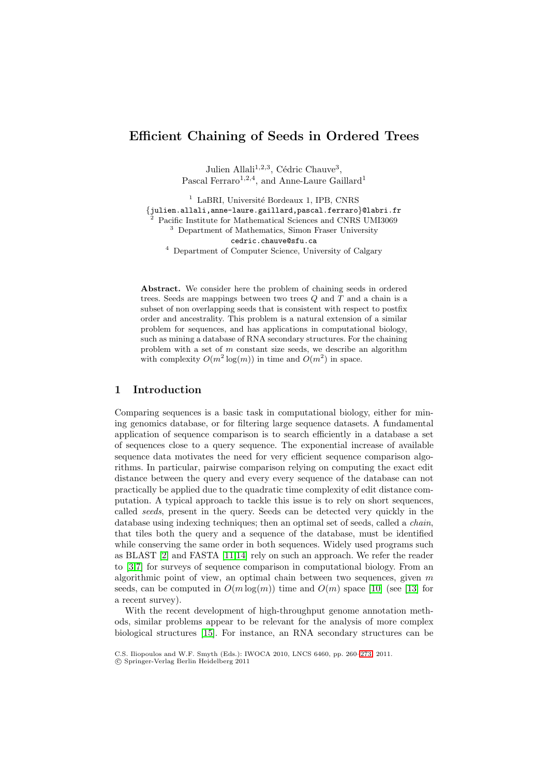# **Efficient Chaining of Seeds in Ordered Trees**

Julien Allali<sup>1,2,3</sup>, Cédric Chauve<sup>3</sup>, Pascal Ferraro<sup>1,2,4</sup>, and Anne-Laure Gaillard<sup>1</sup>

 LaBRI, Université Bordeaux 1, IPB, CNRS {julien.allali,anne-laure.gaillard,pascal.ferraro}@labri.fr Pacific Institute for Mathematical Sciences and CNRS UMI3069 Department of Mathematics, Simon Fraser University cedric.chauve@sfu.ca Department of Computer Science, University of Calgary

**Abstract.** We consider here the problem of chaining seeds in ordered trees. Seeds are mappings between two trees *Q* and *T* and a chain is a subset of non overlapping seeds that is consistent with respect to postfix order and ancestrality. This problem is a natural extension of a similar problem for sequences, and has applications in computational biology, such as mining a database of RNA secondary structures. For the chaining problem with a set of *m* constant size seeds, we describe an algorithm with complexity  $O(m^2 \log(m))$  in time and  $O(m^2)$  in space.

## **1 Introduction**

Comparing sequences is a basic task in computational biology, either for mining genomics database, or for filtering large sequence datasets. A fundamental application of sequence comparison is to search efficiently in a database a set of sequences close to a query sequence. The exponential increase of available sequence data motivates the need for very efficient sequence comparison algorithms. In particular, pairwise comparison relying on computing the exact edit distance between the query and every every sequence of the database can not practically be applied due to the quadratic time complexity of edit distance computation. A typical approach to tackle this issue is to rely on short sequences, called *seeds*, present in the query. Seeds can be detected very quickly in the database using indexing techniques; then an optimal set of seeds, called a *chain*, that tiles both the query and a sequence of the database, must be identified while conserving the same order in both sequences. Widely used programs such as BLAST [\[2\]](#page-12-0) and FASTA [\[11,](#page-12-1)[14\]](#page-12-2) rely on such an approach. We refer the reader to [\[3](#page-12-3)[,7\]](#page-12-4) for surveys of sequence comparison in computational biology. From an algorithmic point of view, an optimal chain between two sequences, given *m* seeds, can be computed in  $O(m \log(m))$  time and  $O(m)$  space [\[10\]](#page-12-5) (see [\[13\]](#page-12-6) for a recent survey).

With the recent development of high-throughput genome annotation methods, similar problems appear to be relevant for the analysis of more complex biological structures [\[15\]](#page-12-7). For instance, an RNA secondary structures can be

C.S. Iliopoulos and W.F. Smyth (Eds.): IWOCA 2010, LNCS 6460, pp. 260[–273,](#page-13-0) 2011.

<sup>-</sup>c Springer-Verlag Berlin Heidelberg 2011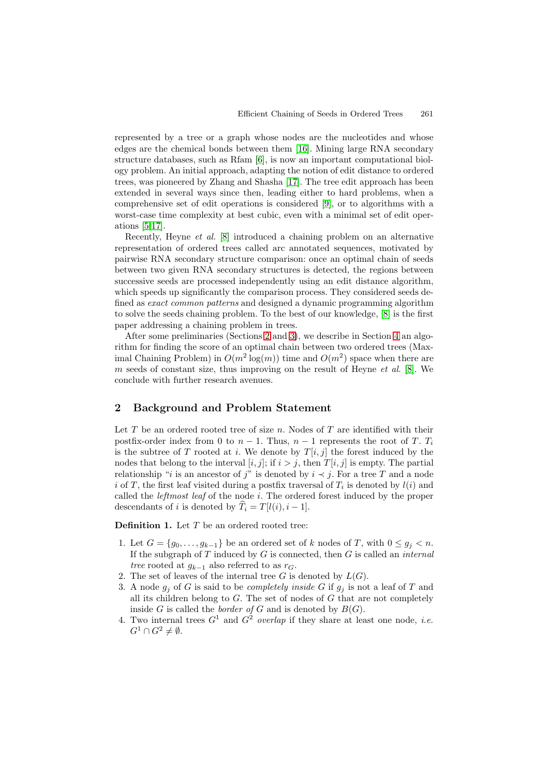represented by a tree or a graph whose nodes are the nucleotides and whose edges are the chemical bonds between them [\[16\]](#page-12-8). Mining large RNA secondary structure databases, such as Rfam [\[6\]](#page-12-9), is now an important computational biology problem. An initial approach, adapting the notion of edit distance to ordered trees, was pioneered by Zhang and Shasha [\[17\]](#page-12-10). The tree edit approach has been extended in several ways since then, leading either to hard problems, when a comprehensive set of edit operations is considered [\[9\]](#page-12-11), or to algorithms with a worst-case time complexity at best cubic, even with a minimal set of edit operations [\[5](#page-12-12)[,17\]](#page-12-10).

Recently, Heyne *et al.* [\[8\]](#page-12-13) introduced a chaining problem on an alternative representation of ordered trees called arc annotated sequences, motivated by pairwise RNA secondary structure comparison: once an optimal chain of seeds between two given RNA secondary structures is detected, the regions between successive seeds are processed independently using an edit distance algorithm, which speeds up significantly the comparison process. They considered seeds defined as *exact common patterns* and designed a dynamic programming algorithm to solve the seeds chaining problem. To the best of our knowledge, [\[8\]](#page-12-13) is the first paper addressing a chaining problem in trees.

After some preliminaries (Sections [2](#page-1-0) and [3\)](#page-4-0), we describe in Section [4](#page-6-0) an algorithm for finding the score of an optimal chain between two ordered trees (Maximal Chaining Problem) in  $O(m^2 \log(m))$  time and  $O(m^2)$  space when there are *m* seeds of constant size, thus improving on the result of Heyne *et al.* [\[8\]](#page-12-13). We conclude with further research avenues.

# <span id="page-1-0"></span>**2 Background and Problem Statement**

Let *T* be an ordered rooted tree of size *n*. Nodes of *T* are identified with their postfix-order index from 0 to  $n-1$ . Thus,  $n-1$  represents the root of *T*.  $T_i$ is the subtree of *T* rooted at *i*. We denote by  $T[i, j]$  the forest induced by the nodes that belong to the interval  $[i, j]$ ; if  $i > j$ , then  $T[i, j]$  is empty. The partial relationship "*i* is an ancestor of *j*" is denoted by  $i \prec j$ . For a tree *T* and a node *i* of *T*, the first leaf visited during a postfix traversal of  $T_i$  is denoted by  $l(i)$  and called the *leftmost leaf* of the node *i*. The ordered forest induced by the proper relationship "*i* is an ancestor of *j*" is denoted by *i* of *T*, the first leaf visited during a postfix trave called the *leftmost leaf* of the node *i*. The ordere descendants of *i* is denoted by  $\hat{T}_i = T[l(i), i - 1]$ .

**Definition 1.** Let *T* be an ordered rooted tree:

- 1. Let  $G = \{g_0, \ldots, g_{k-1}\}\$  be an ordered set of *k* nodes of *T*, with  $0 \le g_j < n$ . If the subgraph of *T* induced by *G* is connected, then *G* is called an *internal tree* rooted at  $g_{k-1}$  also referred to as  $r<sub>G</sub>$ .
- 2. The set of leaves of the internal tree  $G$  is denoted by  $L(G)$ .
- 3. A node  $g_j$  of *G* is said to be *completely inside G* if  $g_j$  is not a leaf of *T* and all its children belong to *G*. The set of nodes of *G* that are not completely inside *G* is called the *border of G* and is denoted by  $B(G)$ .
- 4. Two internal trees  $G^1$  and  $G^2$  *overlap* if they share at least one node, *i.e.*  $G^1 \cap G^2 \neq \emptyset$ .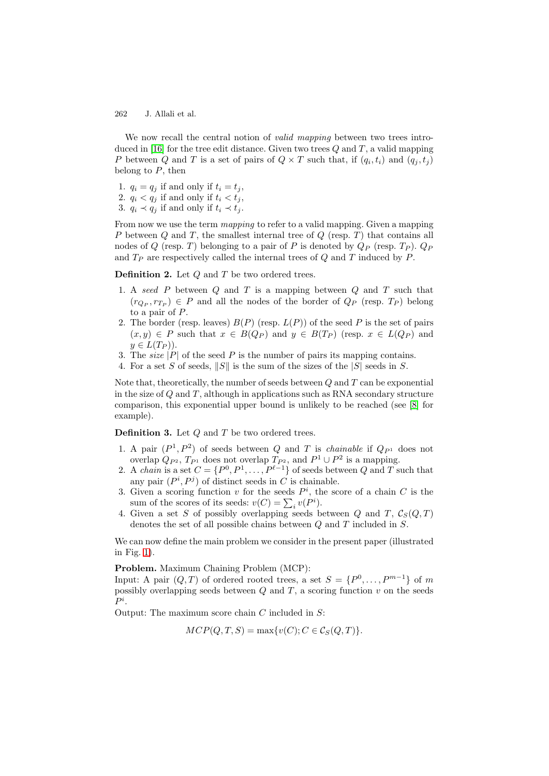We now recall the central notion of *valid mapping* between two trees introduced in [\[16\]](#page-12-8) for the tree edit distance. Given two trees *Q* and *T* , a valid mapping *P* between *Q* and *T* is a set of pairs of  $Q \times T$  such that, if  $(q_i, t_i)$  and  $(q_j, t_j)$ belong to *P*, then

- 1.  $q_i = q_j$  if and only if  $t_i = t_j$ ,
- 2.  $q_i < q_j$  if and only if  $t_i < t_j$ ,
- 3.  $q_i \prec q_j$  if and only if  $t_i \prec t_j$ .

From now we use the term *mapping* to refer to a valid mapping. Given a mapping *P* between *Q* and *T* , the smallest internal tree of *Q* (resp. *T* ) that contains all nodes of  $Q$  (resp.  $T$ ) belonging to a pair of  $P$  is denoted by  $Q_P$  (resp.  $T_P$ ).  $Q_P$ and  $T_P$  are respectively called the internal trees of  $Q$  and  $T$  induced by  $P$ .

**Definition 2.** Let *Q* and *T* be two ordered trees.

- 1. A *seed P* between *Q* and *T* is a mapping between *Q* and *T* such that  $(r_{Q_P}, r_{T_P}) \in P$  and all the nodes of the border of  $Q_P$  (resp.  $T_P$ ) belong to a pair of *P*.
- 2. The border (resp. leaves)  $B(P)$  (resp.  $L(P)$ ) of the seed P is the set of pairs  $(x, y) \in P$  such that  $x \in B(Q_P)$  and  $y \in B(T_P)$  (resp.  $x \in L(Q_P)$  and  $y \in L(T_P)$ .
- 3. The *size* |*P*| of the seed *P* is the number of pairs its mapping contains.
- 4. For a set *S* of seeds,  $||S||$  is the sum of the sizes of the  $|S|$  seeds in *S*.

Note that, theoretically, the number of seeds between *Q* and *T* can be exponential in the size of *Q* and *T* , although in applications such as RNA secondary structure comparison, this exponential upper bound is unlikely to be reached (see [\[8\]](#page-12-13) for example).

**Definition 3.** Let *Q* and *T* be two ordered trees.

- 1. A pair  $(P^1, P^2)$  of seeds between *Q* and *T* is *chainable* if  $Q_{P^1}$  does not
- overlap  $Q_{P^2}$ ,  $T_{P^1}$  does not overlap  $T_{P^2}$ , and  $P^1 \cup P^2$  is a mapping.<br>2. A *chain* is a set  $C = \{P^0, P^1, \ldots, P^{\ell-1}\}$  of seeds between  $Q$  and  $T$  such that<br>any pair  $(P^i, P^j)$  of distinct seeds in  $C$  is ch any pair  $(P^i, P^j)$  of distinct seeds in *C* is chainable.
- 3. Given a scoring function  $v$  for the seeds  $P^i$ , the score of a chain  $C$  is the  $\frac{i}{\kappa}v(P^i).$
- 4. Given a set *S* of possibly overlapping seeds between *Q* and *T*,  $C_S(Q,T)$ denotes the set of all possible chains between *Q* and *T* included in *S*.

We can now define the main problem we consider in the present paper (illustrated in Fig. [1\)](#page-3-0).

**Problem.** Maximum Chaining Problem (MCP):

Input: A pair  $(Q, T)$  of ordered rooted trees, a set  $S = \{P^0, \ldots, P^{m-1}\}\$  of *m* possibly overlapping seeds between  $Q$  and  $T$ , a scoring function  $v$  on the seeds *P*i .

Output: The maximum score chain *C* included in *S*:

 $MCP(Q, T, S) = \max\{v(C); C \in C(S(Q, T)\}.$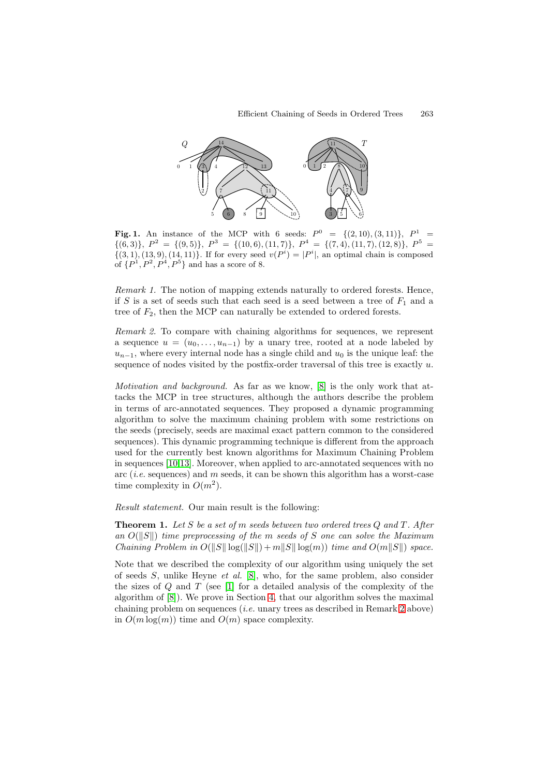<span id="page-3-0"></span>

**Fig. 1.** An instance of the MCP with 6 seeds:  $P^0 = \{(2, 10), (3, 11)\}, P^1 =$  $\{(6,3)\}, P^2 = \{(9,5)\}, P^3 = \{(10,6), (11,7)\}, P^4 = \{(7,4), (11,7), (12,8)\}, P^5 =$  ${(3, 1), (13, 9), (14, 11)}.$  If for every seed  $v(P^i) = |P^i|$ , an optimal chain is composed of  $\{P^1, P^2, P^4, P^5\}$  and has a score of 8.

*Remark 1.* The notion of mapping extends naturally to ordered forests. Hence, if *S* is a set of seeds such that each seed is a seed between a tree of  $F_1$  and a tree of *F*2, then the MCP can naturally be extended to ordered forests.

<span id="page-3-1"></span>*Remark 2.* To compare with chaining algorithms for sequences, we represent a sequence  $u = (u_0, \ldots, u_{n-1})$  by a unary tree, rooted at a node labeled by *u*<sub>n−1</sub>, where every internal node has a single child and *u*<sub>0</sub> is the unique leaf: the sequence of nodes visited by the postfix-order traversal of this tree is exactly *u*.

*Motivation and background.* As far as we know, [\[8\]](#page-12-13) is the only work that attacks the MCP in tree structures, although the authors describe the problem in terms of arc-annotated sequences. They proposed a dynamic programming algorithm to solve the maximum chaining problem with some restrictions on the seeds (precisely, seeds are maximal exact pattern common to the considered sequences). This dynamic programming technique is different from the approach used for the currently best known algorithms for Maximum Chaining Problem in sequences [\[10](#page-12-5)[,13\]](#page-12-6). Moreover, when applied to arc-annotated sequences with no arc (*i.e.* sequences) and *m* seeds, it can be shown this algorithm has a worst-case time complexity in  $O(m^2)$ .

<span id="page-3-2"></span>*Result statement.* Our main result is the following:

**Theorem 1.** *Let S be a set of m seeds between two ordered trees Q and T . After an O*(*S*) *time preprocessing of the m seeds of S one can solve the Maximum Chaining Problem in*  $O(||S|| \log(||S||) + m||S|| \log(m))$  *time and*  $O(m||S||)$  *space.* 

Note that we described the complexity of our algorithm using uniquely the set of seeds *S*, unlike Heyne *et al.* [\[8\]](#page-12-13), who, for the same problem, also consider the sizes of *Q* and *T* (see [\[1\]](#page-12-14) for a detailed analysis of the complexity of the algorithm of [\[8\]](#page-12-13)). We prove in Section [4,](#page-6-0) that our algorithm solves the maximal chaining problem on sequences (*i.e.* unary trees as described in Remark [2](#page-3-1) above) in  $O(m \log(m))$  time and  $O(m)$  space complexity.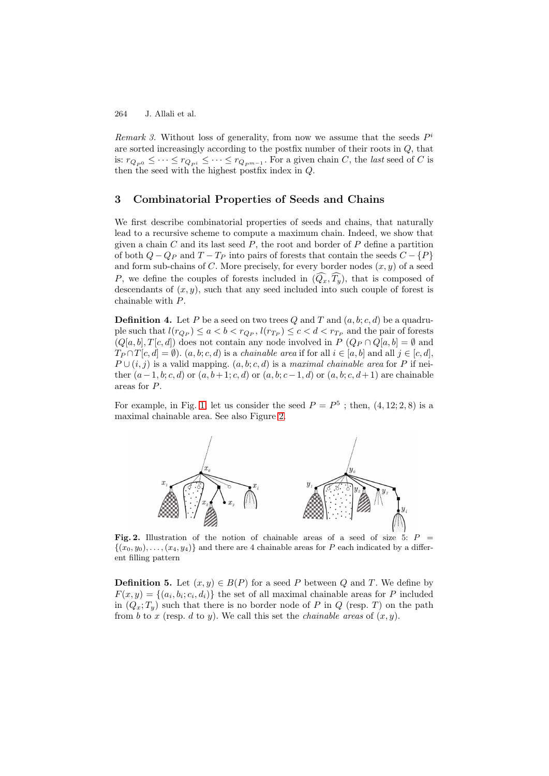<span id="page-4-3"></span>*Remark 3.* Without loss of generality, from now we assume that the seeds *P*<sup>i</sup> are sorted increasingly according to the postfix number of their roots in *Q*, that is:  $r_{Q_{P^0}} \leq \cdots \leq r_{Q_{P^i}} \leq \cdots \leq r_{Q_{P^{m-1}}}$ . For a given chain *C*, the *last* seed of *C* is then the seed with the highest postfix index in *Q*.

# <span id="page-4-0"></span>**3 Combinatorial Properties of Seeds and Chains**

We first describe combinatorial properties of seeds and chains, that naturally lead to a recursive scheme to compute a maximum chain. Indeed, we show that given a chain *C* and its last seed *P*, the root and border of *P* define a partition of both  $Q - Q_P$  and  $T - T_P$  into pairs of forests that contain the seeds  $C - {P}$ and form sub-chains of  $C$ . More precisely, for every border nodes  $(x, y)$  of a seed *P*, we define the couples of forests included in  $(Q_x, T_y)$ , that is composed of descendents of  $(x, y)$ , each that any soad included into such souple of forest is descendants of  $(x, y)$ , such that any seed included into such couple of forest is chainable with *P*.

**Definition 4.** Let *P* be a seed on two trees *Q* and *T* and  $(a, b; c, d)$  be a quadruple such that  $l(r_{Q_P}) \le a < b < r_{Q_P}$ ,  $l(r_{T_P}) \le c < d < r_{T_P}$  and the pair of forests  $(Q[a, b], T[c, d])$  does not contain any node involved in  $P(Q_P \cap Q[a, b]) = \emptyset$  and  $T_P \cap T[c, d] = \emptyset$ ).  $(a, b; c, d)$  is a *chainable area* if for all  $i \in [a, b]$  and all  $j \in [c, d]$ , *P* ∪  $(i, j)$  is a valid mapping.  $(a, b; c, d)$  is a *maximal chainable area* for *P* if neither  $(a-1, b; c, d)$  or  $(a, b+1; c, d)$  or  $(a, b; c-1, d)$  or  $(a, b; c, d+1)$  are chainable areas for *P*.

For example, in Fig. [1,](#page-3-0) let us consider the seed  $P = P^5$ ; then,  $(4, 12; 2, 8)$  is a maximal chainable area. See also Figure [2.](#page-4-1)

<span id="page-4-1"></span>

**Fig. 2.** Illustration of the notion of chainable areas of a seed of size 5:  $P =$  $\{(x_0, y_0), \ldots, (x_4, y_4)\}\$ and there are 4 chainable areas for *P* each indicated by a different filling pattern

<span id="page-4-2"></span>**Definition 5.** Let  $(x, y) \in B(P)$  for a seed *P* between *Q* and *T*. We define by  $F(x, y) = \{(a_i, b_i; c_i, d_i)\}\$ the set of all maximal chainable areas for *P* included in  $(Q_x; T_y)$  such that there is no border node of *P* in *Q* (resp. *T*) on the path from *b* to *x* (resp. *d* to *y*). We call this set the *chainable areas* of  $(x, y)$ .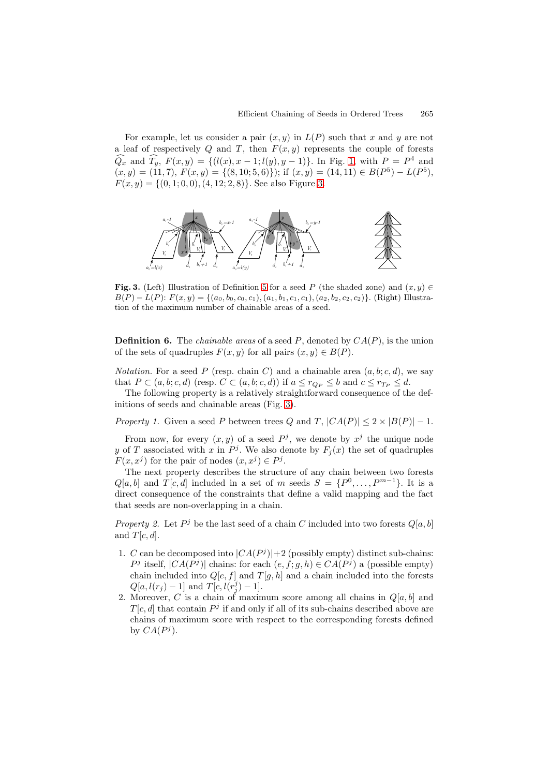For example, let us consider a pair (*x, y*) in *L*(*P*) such that *x* and *y* are not a leaf of respectively  $Q$  and  $T$ , then  $F(x, y)$  represents the couple of forests  $\hat{Q}_x$  and  $\hat{T}_y$ ,  $F(x, y) = \{((x), x - 1; l(y), y - 1)\}$ . In Fig. [1,](#page-3-0) with  $P = P^4$  and  $(x, y) = (11, 7)$ ,  $F(x, y) = (9, 10, 5, 6)$ ), if  $(x, y) = (14, 11) \in P(D^5)$ ,  $I(D^5)$  $F(x, y) = (11, 7), F(x, y) = \{(8, 10, 5, 6)\};$  if  $(x, y) = (14, 11) \in B(P^5) - L(P^5),$  $F(x, y) = \{(0, 1; 0, 0), (4, 12; 2, 8)\}.$  See also Figure [3.](#page-5-0)

<span id="page-5-0"></span>

**Fig. 3.** (Left) Illustration of Definition [5](#page-4-2) for a seed *P* (the shaded zone) and  $(x, y) \in$  $B(P) - L(P)$ :  $F(x, y) = \{(a_0, b_0, c_0, c_1), (a_1, b_1, c_1, c_1), (a_2, b_2, c_2, c_2)\}\.$  (Right) Illustration of the maximum number of chainable areas of a seed.

**Definition 6.** The *chainable areas* of a seed *P*, denoted by *CA*(*P*), is the union of the sets of quadruples  $F(x, y)$  for all pairs  $(x, y) \in B(P)$ .

*Notation.* For a seed *P* (resp. chain *C*) and a chainable area  $(a, b; c, d)$ , we say that  $P \subset (a, b; c, d)$  (resp.  $C \subset (a, b; c, d)$ ) if  $a \leq r_{Q_P} \leq b$  and  $c \leq r_{T_P} \leq d$ .

The following property is a relatively straightforward consequence of the definitions of seeds and chainable areas (Fig. [3\)](#page-5-0).

<span id="page-5-2"></span>*Property 1.* Given a seed *P* between trees *Q* and *T*,  $|CA(P)| \leq 2 \times |B(P)| - 1$ .

From now, for every  $(x, y)$  of a seed  $P<sup>j</sup>$ , we denote by  $x<sup>j</sup>$  the unique node *y* of *T* associated with *x* in  $P<sup>j</sup>$ . We also denote by  $F<sub>j</sub>(x)$  the set of quadruples  $F(x, x^j)$  for the pair of nodes  $(x, x^j) \in P^j$ .

The next property describes the structure of any chain between two forests  $Q[a, b]$  and  $T[c, d]$  included in a set of *m* seeds  $S = \{P^0, \ldots, P^{m-1}\}$ . It is a direct consequence of the constraints that define a valid mapping and the fact that seeds are non-overlapping in a chain.

<span id="page-5-1"></span>*Property 2.* Let  $P^j$  be the last seed of a chain *C* included into two forests  $Q[a, b]$ and  $T[c, d]$ .

- 1. *C* can be decomposed into  $|CA(P^j)|+2$  (possibly empty) distinct sub-chains: *P*<sup>j</sup> itself,  $|CA(P^j)|$  chains: for each  $(e, f; g, h) \in CA(P^j)$  a (possible empty) chain included into  $Q[e, f]$  and  $T[g, h]$  and a chain included into the forests  $Q[a, l(r_j) - 1]$  and  $T[c, l(r_j^j) - 1]$ .<br>Moreover *C* is a chain of maxim
- 2. Moreover, *C* is a chain of maximum score among all chains in  $Q[a, b]$  and  $T[c, d]$  that contain  $P<sup>j</sup>$  if and only if all of its sub-chains described above are chains of maximum score with respect to the corresponding forests defined by  $CA(P<sup>j</sup>)$ .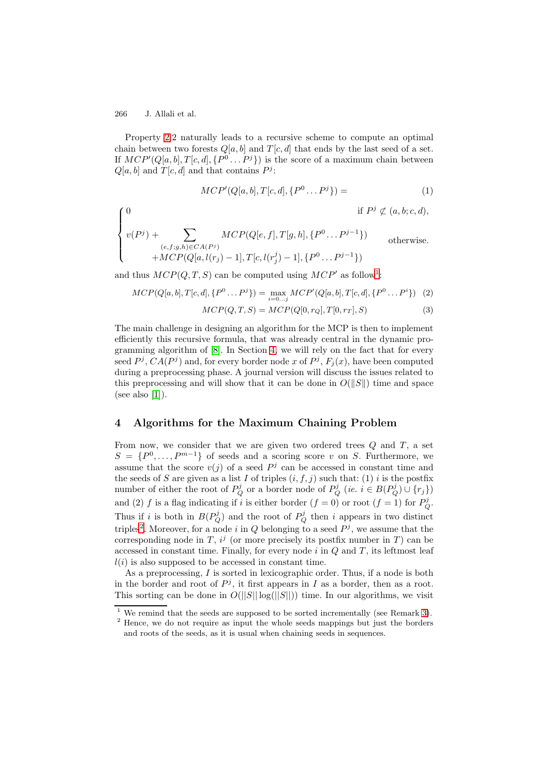Property [2.](#page-5-1)2 naturally leads to a recursive scheme to compute an optimal chain between two forests  $Q[a, b]$  and  $T[c, d]$  that ends by the last seed of a set. If  $MCP'(Q[a, b], T[c, d], \{P^0 \dots P^j\})$  is the score of a maximum chain between  $Q[a, b]$  and  $T[c, d]$  and that contains  $P<sup>j</sup>$ :

<span id="page-6-3"></span>
$$
MCP'(Q[a, b], T[c, d], \{P^0 \dots P^j\}) =
$$
\n(1)

 $\bigcap$ 0 if  $P^j \not\subset (a, b; c, d),$ 0<br> $v(P^j)$  +  $\sum$  $(e, f; g, h) \in CA(P^j)$  $MCP(Q[e, f], T[g, h], \{P^0 \dots P^{j-1}\})$  otherwise.  $+MCP(Q[a, l(r_j) - 1], T[c, l(r_j^j) - 1], \{P^0 \dots P^{j-1}\})$ 

and thus  $MCP(Q, T, S)$  can be computed using  $MCP'$  as follow<sup>[1](#page-6-1)</sup>:

<span id="page-6-4"></span>
$$
MCP(Q[a, b], T[c, d], \{P^0 \dots P^j\}) = \max_{i=0 \dots j} MCP'(Q[a, b], T[c, d], \{P^0 \dots P^i\}) \tag{2}
$$

$$
MCP(Q, T, S) = MCP(Q[0, r_Q], T[0, r_T], S) \tag{3}
$$

The main challenge in designing an algorithm for the MCP is then to implement efficiently this recursive formula, that was already central in the dynamic programming algorithm of [\[8\]](#page-12-13). In Section [4,](#page-6-0) we will rely on the fact that for every seed  $P^j$ ,  $CA(P^j)$  and, for every border node *x* of  $P^j$ ,  $F_j(x)$ , have been computed during a preprocessing phase. A journal version will discuss the issues related to this preprocessing and will show that it can be done in  $O(||S||)$  time and space (see also  $[1]$ ).

# <span id="page-6-0"></span>**4 Algorithms for the Maximum Chaining Problem**

From now, we consider that we are given two ordered trees *Q* and *T* , a set  $S = \{P^0, \ldots, P^{m-1}\}\$ of seeds and a scoring score *v* on *S*. Furthermore, we assume that the score  $v(j)$  of a seed  $P<sup>j</sup>$  can be accessed in constant time and the seeds of *S* are given as a list *I* of triples  $(i, f, j)$  such that: (1) *i* is the postfix number of either the root of  $P_Q^j$  or a border node of  $P_Q^j$  (ie.  $i \in B(P_Q^j) \cup \{r_j\}$ )<br>and (2) f is a flag indicating if i is either border  $(f = 0)$  or root  $(f = 1)$  for  $P_Q^j$ . Thus if *i* is both in  $B(P_Q^J)$  and the root of  $P_Q^J$  then *i* appears in two distinct triples<sup>[2](#page-6-2)</sup>. Moreover, for a node *i* in *Q* belonging to a seed  $P<sup>j</sup>$ , we assume that the corresponding node in  $T$ ,  $i^j$  (or more precisely its postfix number in  $T$ ) can be accessed in constant time. Finally, for every node *i* in *Q* and *T* , its leftmost leaf  $l(i)$  is also supposed to be accessed in constant time.

As a preprocessing, *I* is sorted in lexicographic order. Thus, if a node is both in the border and root of  $P<sup>j</sup>$ , it first appears in *I* as a border, then as a root. This sorting can be done in  $O(||S|| \log(||S||))$  time. In our algorithms, we visit

<sup>&</sup>lt;sup>1</sup> We remind that the seeds are supposed to be sorted incrementally (see Remark [3\)](#page-4-3).<br><sup>2</sup> Honce, we do not require as input the whole seeds mannings but just the borders

<span id="page-6-2"></span><span id="page-6-1"></span><sup>2</sup> Hence, we do not require as input the whole seeds mappings but just the borders and roots of the seeds, as it is usual when chaining seeds in sequences.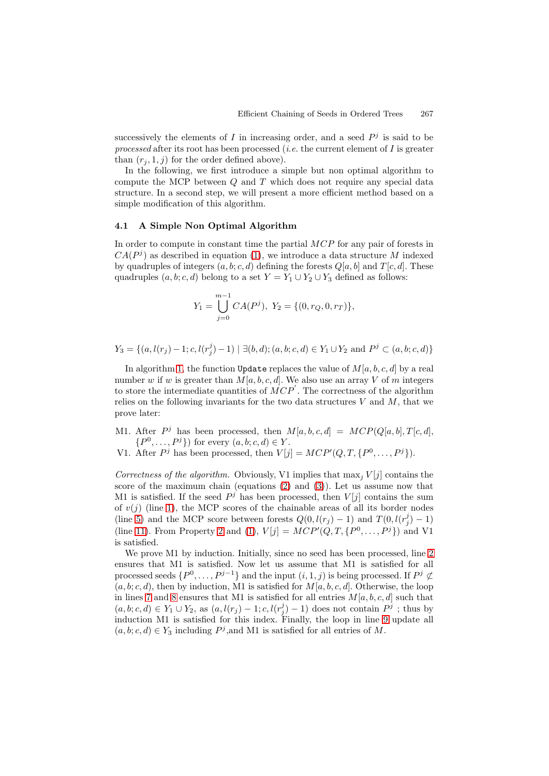successively the elements of  $I$  in increasing order, and a seed  $P<sup>j</sup>$  is said to be *processed* after its root has been processed (*i.e.* the current element of *I* is greater than  $(r_i, 1, i)$  for the order defined above).

In the following, we first introduce a simple but non optimal algorithm to compute the MCP between *Q* and *T* which does not require any special data structure. In a second step, we will present a more efficient method based on a simple modification of this algorithm.

#### **4.1 A Simple Non Optimal Algorithm**

In order to compute in constant time the partial *MCP* for any pair of forests in  $CA(P<sup>j</sup>)$  as described in equation [\(1\)](#page-6-3), we introduce a data structure *M* indexed by quadruples of integers  $(a, b; c, d)$  defining the forests  $Q[a, b]$  and  $T[c, d]$ . These quadruples  $(a, b; c, d)$  belong to a set  $Y = Y_1 \cup Y_2 \cup Y_3$  defined as follows:  $(a,$ <br>  $\begin{bmatrix} an \\ m-1 \end{bmatrix}$ 

$$
Y_1 = \bigcup_{j=0}^{m-1} CA(P^j), \ Y_2 = \{(0, r_Q, 0, r_T)\},\
$$

*Y*<sub>3</sub> = {(*a, l*(*r*<sub>j</sub>) − 1; *c, l*(*r*<sub>j</sub><sup>2</sup>) − 1) | ∃(*b, d*); (*a, b*; *c, d*) ∈ *Y*<sub>1</sub> ∪ *Y*<sub>2</sub> and *P*<sup>j</sup> ⊂ (*a, b*; *c, d*)}

In algorithm [1,](#page-8-0) the function Update replaces the value of  $M[a, b, c, d]$  by a real number *w* if *w* is greater than  $M[a, b, c, d]$ . We also use an array *V* of *m* integers to store the intermediate quantities of  $MCP'$ . The correctness of the algorithm relies on the following invariants for the two data structures *V* and *M*, that we prove later:

- M1. After  $P^j$  has been processed, then  $M[a, b, c, d] = MCP(Q[a, b], T[c, d],$  $\{P^0, \ldots, P^j\}$  for every  $(a, b; c, d) \in Y$ .
- V1. After  $P^j$  has been processed, then  $V[j] = MCP'(Q, T, \{P^0, \ldots, P^j\}).$

*Correctness of the algorithm.* Obviously, V1 implies that  $\max_j V[j]$  contains the score of the maximum chain (equations [\(2\)](#page-6-4) and [\(3\)](#page-6-4)). Let us assume now that M1 is satisfied. If the seed  $P<sup>j</sup>$  has been processed, then  $V[j]$  contains the sum of  $v(j)$  (line [1\)](#page-8-1), the MCP scores of the chainable areas of all its border nodes (line [5\)](#page-8-2) and the MCP score between forests  $Q(0, l(r_j) - 1)$  and  $T(0, l(r_j^j) - 1)$ <br>(line 11) From Property 2 and (1)  $V^{[j]}$   $MCD'$  (*Q*, *T* (*P*<sup>0</sup>  $P^{(j)}$ ) and  $V^{[j]}$ (line [11\)](#page-8-3). From Property [2](#page-5-1) and [\(1\)](#page-6-3),  $V[j] = MCP'(Q, T, \{P^0, \ldots, P^j\})$  and V1 is satisfied.

We prove M1 by induction. Initially, since no seed has been processed, line [2](#page-8-4) ensures that M1 is satisfied. Now let us assume that M1 is satisfied for all processed seeds  $\{P^0,\ldots,P^{j-1}\}\$ and the input  $(i,1,j)$  is being processed. If  $P^j \not\subset$  $(a, b, c, d)$ , then by induction, M1 is satisfied for  $M[a, b, c, d]$ . Otherwise, the loop in lines [7](#page-8-5) and [8](#page-8-6) ensures that M1 is satisfied for all entries *M*[*a, b, c, d*] such that  $(a, b; c, d) \in Y_1 \cup Y_2$ , as  $(a, l(r_j) - 1; c, l(r_j^j) - 1)$  does not contain  $P^j$ ; thus by induction M1 is satisfied for this index. Finally, the loop in line 9 undate all induction M1 is satisfied for this index. Finally, the loop in line [9](#page-8-7) update all  $(a, b; c, d) \in Y_3$  including  $P^j$ , and M1 is satisfied for all entries of M.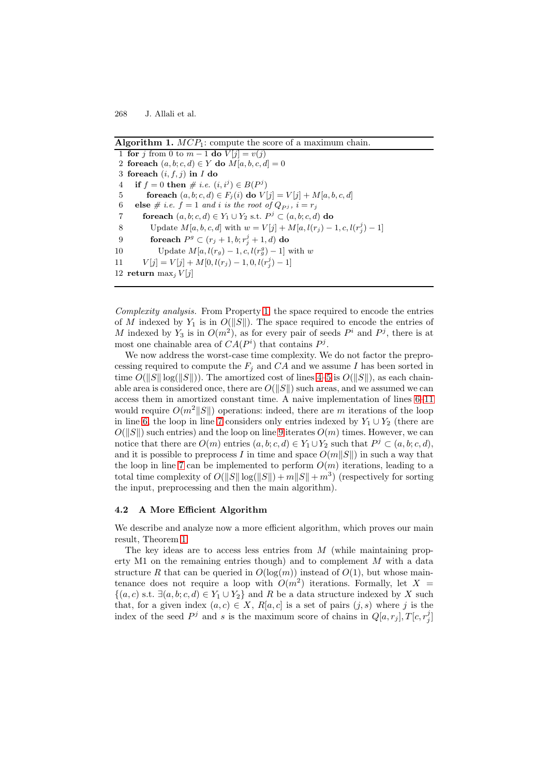<span id="page-8-0"></span>**Algorithm 1.** *MCP*1: compute the score of a maximum chain.

<span id="page-8-9"></span><span id="page-8-8"></span><span id="page-8-6"></span><span id="page-8-5"></span><span id="page-8-4"></span><span id="page-8-2"></span><span id="page-8-1"></span>**for** *j* from 0 to  $m-1$  **do**  $V[j] = v(j)$ **foreach**  $(a, b; c, d) \in Y$  **do**  $M[a, b, c, d] = 0$  **foreach** (*i, f, j*) **in** *I* **do if**  $f = 0$  **then**  $\#$  *i.e.*  $(i, i^j) \in B(P^j)$ **foreach**  $(a, b; c, d) \in F_j(i)$  **do**  $V[j] = V[j] + M[a, b, c, d]$ <br>6 **else**  $\#$  *i.e.*  $f = 1$  *and i is the root of*  $Q_{pj}$ ,  $i = r_j$ **else** # *i.e.*  $f = 1$  *and i is the root of*  $Q_{Pj}$ ,  $i = r_j$ <br>7 **foreach**  $(a, b; c, d) \in Y_1 \cup Y_2$  *s.t.*  $P^j \subset (a, b; c, d)$ **foreach**  $(a, b; c, d) \in Y_1 \cup Y_2$  s.t.  $P^j \subset (a, b; c, d)$  **do** 8 Update  $M[a, b, c, d]$  with  $w = V[j] + M[a, l(r_j) - 1, c, l(r_j^j) - 1]$ **foreach**  $P^g \subset (r_j + 1, b; r_j^j + 1, d)$  **do** 10 Update  $M[a, l(r_g) - 1, c, l(r_g^g) - 1]$  with *w*  $V[j] = V[j] + M[0, l(r_j) - 1, 0, l(r_j^j) - 1]$ <br>
12 notus we see  $V^{[j]}$ **return** max<sub>*j*</sub>  $V[j]$ 

<span id="page-8-7"></span><span id="page-8-3"></span>*Complexity analysis.* From Property [1,](#page-5-2) the space required to encode the entries of *M* indexed by  $Y_1$  is in  $O(||S||)$ . The space required to encode the entries of *M* indexed by  $Y_3$  is in  $O(m^2)$ , as for every pair of seeds  $P^i$  and  $P^j$ , there is at most one chainable area of  $CA(P<sup>i</sup>)$  that contains  $P<sup>j</sup>$ .

We now address the worst-case time complexity. We do not factor the preprocessing required to compute the  $F_j$  and  $CA$  and we assume *I* has been sorted in time  $O(||S|| \log(||S||)$ . The amortized cost of lines [4](#page-8-8)[–5](#page-8-2) is  $O(||S||)$ , as each chainable area is considered once, there are  $O(||S||)$  such areas, and we assumed we can access them in amortized constant time. A naive implementation of lines [6](#page-8-9)[–11](#page-8-3) would require  $O(m^2||S||)$  operations: indeed, there are *m* iterations of the loop in line [6,](#page-8-9) the loop in line [7](#page-8-5) considers only entries indexed by  $Y_1 \cup Y_2$  (there are  $O(||S||)$  such entries) and the loop on line [9](#page-8-7) iterates  $O(m)$  times. However, we can notice that there are  $O(m)$  entries  $(a, b; c, d) \in Y_1 \cup Y_2$  such that  $P^j \subset (a, b; c, d)$ , and it is possible to preprocess *I* in time and space  $O(m||S||)$  in such a way that the loop in line [7](#page-8-5) can be implemented to perform  $O(m)$  iterations, leading to a total time complexity of  $O(||S|| \log(||S||) + m||S|| + m^3)$  (respectively for sorting the input, preprocessing and then the main algorithm).

#### <span id="page-8-10"></span>**4.2 A More Efficient Algorithm**

We describe and analyze now a more efficient algorithm, which proves our main result, Theorem [1.](#page-3-2)

The key ideas are to access less entries from *M* (while maintaining property M1 on the remaining entries though) and to complement *M* with a data structure *R* that can be queried in  $O(\log(m))$  instead of  $O(1)$ , but whose maintenance does not require a loop with  $O(m^2)$  iterations. Formally, let  $X =$  $\{(a, c) \text{ s.t. } \exists (a, b; c, d) \in Y_1 \cup Y_2\}$  and R be a data structure indexed by X such that, for a given index  $(a, c) \in X$ ,  $R[a, c]$  is a set of pairs  $(j, s)$  where *j* is the index of the seed  $P<sup>j</sup>$  and *s* is the maximum score of chains in  $Q[a, r_j], T[c, r_j^j]$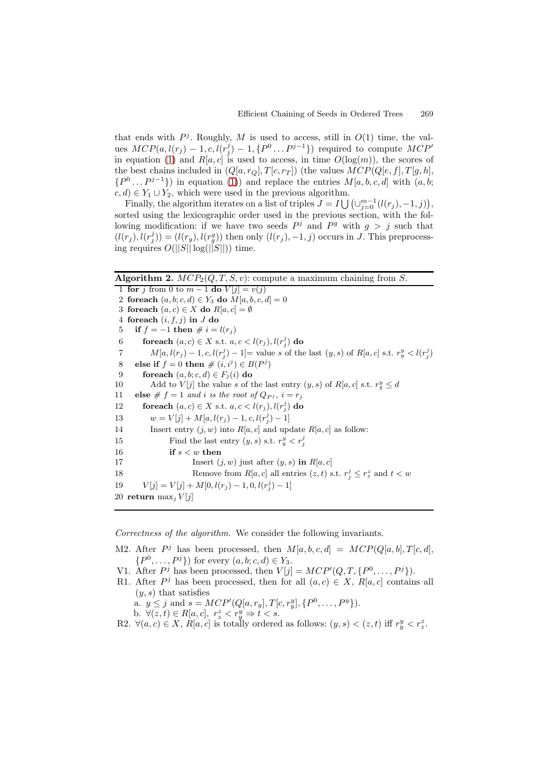that ends with  $P<sup>j</sup>$ . Roughly, M is used to access, still in  $O(1)$  time, the values  $MCP(a, l(r_j) - 1, c, l(r_j^j) - 1, \{P^0, \ldots P^{j-1}\})$  required to compute  $MCP^j$ <br>in equation (1) and  $R[a, c]$  is used to access in time  $O(\log(m))$  the scores of in equation [\(1\)](#page-6-3) and  $R[a, c]$  is used to access, in time  $O(log(m))$ , the scores of the best chains included in  $(Q[a, r_Q], T[c, r_T])$  (the values  $MCP(Q[e, f], T[g, h],$ <br> $\{P^0 \dots P^{j-1}\}\)$  in equation (1)) and replace the entries  $M[a, b, c, d]$  with  $(a, b; c, d) \in Y_1 \cup Y_2$ , which were used in the previous algorithm.  $\{P^0 \dots P^{j-1}\}\$  in equation [\(1\)](#page-6-3)) and replace the entries  $M[a, b, c, d]$  with  $(a, b; c)$  $(c, d) \in Y_1 \cup Y_2$ , which were used in the previous algorithm.

Finally, the algorithm iterates on a list of triples  $J = I \bigcup \left( \bigcup_{j=0}^{m-1} (l(r_j), -1, j) \right)$ , the local using the local contention with the following sorted using the lexicographic order used in the previous section, with the following modification: if we have two seeds  $P<sup>j</sup>$  and  $P<sup>g</sup>$  with  $g > j$  such that  $(l(r_j), l(r_j^j)) = (l(r_g), l(r_g^g))$  then only  $(l(r_j), -1, j)$  occurs in J. This preprocessing requires  $O(||S|| \log(||S||))$  time.

### <span id="page-9-15"></span>**Algorithm 2.**  $MCP_2(Q, T, S, v)$ : compute a maximum chaining from *S*.

<span id="page-9-16"></span><span id="page-9-10"></span><span id="page-9-9"></span><span id="page-9-6"></span><span id="page-9-4"></span><span id="page-9-3"></span><span id="page-9-2"></span><span id="page-9-1"></span><span id="page-9-0"></span>**for** *j* from 0 to  $m-1$  **do**  $V[j] = v(j)$ **foreach**  $(a, b; c, d) \in Y_3$  **do**  $M[a, b, c, d] = 0$ **foreach**  $(a, c) \in X$  **do**  $R[a, c] = \emptyset$  **foreach** (*i, f, j*) **in** *J* **do if**  $f = -1$  **then**  $\# i = l(r_j)$ <br>6 **for each**  $(a, c) \in X$  s.t.  $a$ , **foreach**  $(a, c) \in X$  s.t.  $a, c < l(r_j), l(r_j^j)$  **do**  $M[a, l(r_j) - 1, c, l(r_j^j) - 1] =$  value s of the last  $(y, s)$  of  $R[a, c]$  s.t.  $r_y^y < l(r_j^j)$ **else if**  $f = 0$  **then**  $\# (i, i^j) \in B(P^j)$ **foreach**  $(a, b; c, d) \in F_j(i)$  **do**<br>10 **Add to**  $V[j]$  the value s of t 10 Add to *V*[*j*] the value *s* of the last entry  $(y, s)$  of  $R[a, c]$  s.t.  $r_y^y \leq d$ **else**  $\# f = 1$  *and i is the root of*  $Q_{Pj}$ ,  $i = r_j$ <br>12 **foreach**  $(a, c) \in X$  s.t.  $a, c < l(r_i)$ ,  $l(r_i^j)$  **do foreach**  $(a, c) \in X$  s.t.  $a, c < l(r_j), l(r_j^j)$  do  $w = V[j] + M[a, l(r_j) - 1, c, l(r_j^j) - 1]$ <br>
14 **b** Leaven (*i*, *y*) into  $P[i, l]$  and an 14 Insert entry  $(j, w)$  into  $R[a, c]$  and update  $R[a, c]$  as follow: 15 Find the last entry  $(y, s)$  s.t.  $r_y^y < r_y^j$ *j* **if** *s<w* **then** 17 Insert  $(j, w)$  just after  $(y, s)$  in  $R[a, c]$ 18 Remove from *R*[*a, c*] all entries  $(z, t)$  s.t.  $r_j^j \le r_z^z$  and  $t < w$  $V[j] = V[j] + M[0, l(r_j) - 1, 0, l(r_j^j) - 1]$ <br>
20 notions were  $V[i]$ **return** max<sub>*j*</sub>  $V[j]$ 

<span id="page-9-14"></span><span id="page-9-13"></span><span id="page-9-12"></span><span id="page-9-11"></span><span id="page-9-8"></span><span id="page-9-7"></span><span id="page-9-5"></span>*Correctness of the algorithm.* We consider the following invariants.

- M2. After  $P^j$  has been processed, then  $M[a, b, c, d] = MCP(Q[a, b], T[c, d])$  $\{P^0, \ldots, P^j\}$  for every  $(a, b; c, d) \in Y_3$ .
- V1. After  $P^j$  has been processed, then  $V[j] = MCP'(Q, T, \{P^0, \ldots, P^j\}).$
- R1. After  $P<sup>j</sup>$  has been processed, then for all  $(a, c) \in X$ ,  $R[a, c]$  contains all (*y, s*) that satisfies
	- a.  $y \leq j$  and  $s = MCP'(Q[a, r_y], T[c, r_y^y], \{P^0, \ldots, P^y\}).$ <br>
	b. ∀(*z, t*) ∈ *R*[*a, c*]*, r<sup>z</sup><sub>z</sub> < ry*<sup>*y*</sup> ⇒ *t* < *s*.<br>
	∀(*a, c*) ∈ *X R*[*a, c*] is totally ordered as follows: (*u, s*) <
- R2.  $\forall (a, c) \in X$ ,  $R[a, c]$  is totally ordered as follows:  $(y, s) < (z, t)$  iff  $r_y^y < r_z^z$ .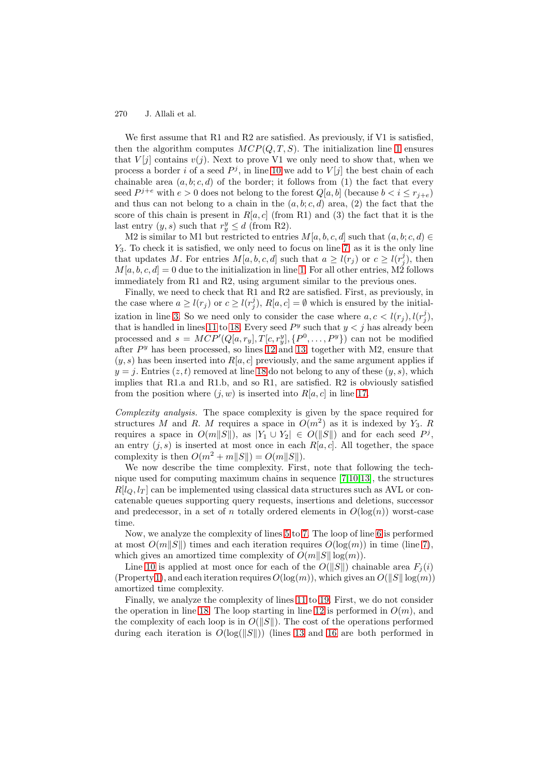We first assume that R1 and R2 are satisfied. As previously, if V1 is satisfied, then the algorithm computes  $MCP(Q, T, S)$ . The initialization line [1](#page-9-0) ensures that  $V[i]$  contains  $v(i)$ . Next to prove V1 we only need to show that, when we process a border *i* of a seed  $P<sup>j</sup>$ , in line [10](#page-9-1) we add to  $V[j]$  the best chain of each chainable area  $(a, b; c, d)$  of the border; it follows from  $(1)$  the fact that every seed  $P^{j+e}$  with  $e > 0$  does not belong to the forest  $Q[a, b]$  (because  $b < i \leq r_{j+e}$ ) and thus can not belong to a chain in the  $(a, b, c, d)$  area, (2) the fact that the score of this chain is present in  $R[a, c]$  (from R1) and (3) the fact that it is the last entry  $(y, s)$  such that  $r_y^y \leq d$  (from R2).<br>
M<sub>2</sub> is similar to M<sub>1</sub> but restricted to ontri-

M2 is similar to M1 but restricted to entries  $M[a, b, c, d]$  such that  $(a, b; c, d) \in$ *Y*3. To check it is satisfied, we only need to focus on line [7,](#page-9-2) as it is the only line that updates *M*. For entries  $M[a, b, c, d]$  such that  $a \ge l(r_j)$  or  $c \ge l(r_j^j)$ , then  $M[a, b, c, d] = 0$  due to the initialization in line 1. For all other entries M<sub>2</sub> follows  $M[a, b, c, d] = 0$  due to the initialization in line [1.](#page-9-0) For all other entries, M2 follows immediately from R1 and R2, using argument similar to the previous ones.

Finally, we need to check that R1 and R2 are satisfied. First, as previously, in the case where  $a \ge l(r_j)$  or  $c \ge l(r_j^j)$ ,  $R[a, c] = \emptyset$  which is ensured by the initial-ization in line [3.](#page-9-3) So we need only to consider the case where  $a, c < l(r_j), l(r_j^j)$ ,<br>that is handled in lines 11 to 18. Every seed  $P^y$  such that  $y < i$  has already home that is handled in lines [11](#page-9-4) to [18.](#page-9-5) Every seed  $P<sup>y</sup>$  such that  $y < j$  has already been processed and  $s = MCP'(Q[a, r_y], T[c, r_y^y], \{P^0, \ldots, P^y\})$  can not be modified of *Py* has been processed so lines 12 and 13, together with M2, ensure that after *P*<sup>y</sup> has been processed, so lines [12](#page-9-6) and [13,](#page-9-7) together with M2, ensure that  $(y, s)$  has been inserted into  $R[a, c]$  previously, and the same argument applies if  $y = j$ . Entries  $(z, t)$  removed at line [18](#page-9-5) do not belong to any of these  $(y, s)$ , which implies that R1.a and R1.b, and so R1, are satisfied.  $R2$  is obviously satisfied from the position where  $(j, w)$  is inserted into  $R[a, c]$  in line [17.](#page-9-8)

*Complexity analysis.* The space complexity is given by the space required for structures *M* and *R*. *M* requires a space in  $O(m^2)$  as it is indexed by  $Y_3$ . *R* requires a space in  $O(m||S||)$ , as  $|Y_1 \cup Y_2| \in O(||S||)$  and for each seed  $P<sup>j</sup>$ , an entry  $(j, s)$  is inserted at most once in each  $R[a, c]$ . All together, the space complexity is then  $O(m^2 + m||S||) = O(m||S||)$ .

We now describe the time complexity. First, note that following the technique used for computing maximum chains in sequence [\[7](#page-12-4)[,10](#page-12-5)[,13\]](#page-12-6), the structures  $R[l_Q, l_T]$  can be implemented using classical data structures such as AVL or concatenable queues supporting query requests, insertions and deletions, successor and predecessor, in a set of *n* totally ordered elements in  $O(\log(n))$  worst-case time.

Now, we analyze the complexity of lines [5](#page-9-9) to [7.](#page-9-2) The loop of line [6](#page-9-10) is performed at most  $O(m||S||)$  times and each iteration requires  $O(\log(m))$  in time (line [7\)](#page-9-2), which gives an amortized time complexity of  $O(m||S|| \log(m))$ .

Line [10](#page-9-1) is applied at most once for each of the  $O(||S||)$  chainable area  $F_i(i)$  $(Property 1)$  $(Property 1)$ , and each iteration requires  $O(\log(m))$ , which gives an  $O(||S|| \log(m))$ amortized time complexity.

Finally, we analyze the complexity of lines [11](#page-9-4) to [19.](#page-9-11) First, we do not consider the operation in line [18.](#page-9-5) The loop starting in line [12](#page-9-6) is performed in  $O(m)$ , and the complexity of each loop is in  $O(||S||)$ . The cost of the operations performed during each iteration is  $O(\log(||S||))$  (lines [13](#page-9-7) and [16](#page-9-12) are both performed in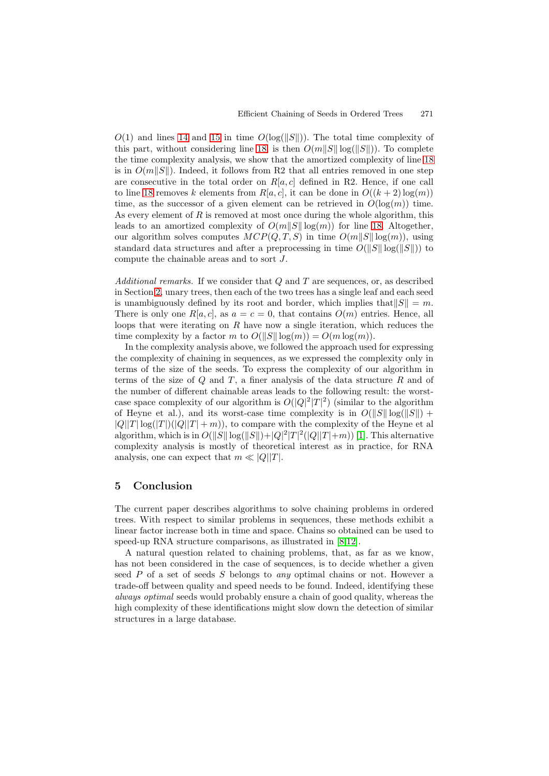$O(1)$  and lines [14](#page-9-13) and [15](#page-9-14) in time  $O(\log(||S||))$ . The total time complexity of this part, without considering line [18,](#page-9-5) is then  $O(m||S|| \log(||S||))$ . To complete the time complexity analysis, we show that the amortized complexity of line [18](#page-9-5) is in  $O(m||S||)$ . Indeed, it follows from R2 that all entries removed in one step are consecutive in the total order on  $R[a, c]$  defined in R2. Hence, if one call to line [18](#page-9-5) removes *k* elements from  $R[a, c]$ , it can be done in  $O((k + 2) \log(m))$ time, as the successor of a given element can be retrieved in  $O(\log(m))$  time. As every element of *R* is removed at most once during the whole algorithm, this leads to an amortized complexity of  $O(m||S|| \log(m))$  for line [18.](#page-9-5) Altogether, our algorithm solves computes  $MCP(Q, T, S)$  in time  $O(m||S|| \log(m))$ , using standard data structures and after a preprocessing in time  $O(||S|| \log(||S||)$  to compute the chainable areas and to sort *J*.

*Additional remarks.* If we consider that *Q* and *T* are sequences, or, as described in Section [2,](#page-1-0) unary trees, then each of the two trees has a single leaf and each seed is unambiguously defined by its root and border, which implies that  $||S|| = m$ . There is only one  $R[a, c]$ , as  $a = c = 0$ , that contains  $O(m)$  entries. Hence, all loops that were iterating on *R* have now a single iteration, which reduces the time complexity by a factor *m* to  $O(||S|| \log(m)) = O(m \log(m)).$ 

In the complexity analysis above, we followed the approach used for expressing the complexity of chaining in sequences, as we expressed the complexity only in terms of the size of the seeds. To express the complexity of our algorithm in terms of the size of *Q* and *T* , a finer analysis of the data structure *R* and of the number of different chainable areas leads to the following result: the worstcase space complexity of our algorithm is  $O(|Q|^2|T|^2)$  (similar to the algorithm of Heyne et al.), and its worst-case time complexity is in  $O(||S|| \log(||S||) +$  $|O||T|\log(|T|/(|O||T|+m))$ , to compare with the complexity of the Heyne et all algorithm, which is in  $O(||S|| \log(||S||) + |Q|^2 |T|^2 (|Q||T| + m))$  [\[1\]](#page-12-14). This alternative complexity analysis is mostly of theoretical interest as in practice, for RNA analysis, one can expect that  $m \ll |Q||T|$ .

## **5 Conclusion**

The current paper describes algorithms to solve chaining problems in ordered trees. With respect to similar problems in sequences, these methods exhibit a linear factor increase both in time and space. Chains so obtained can be used to speed-up RNA structure comparisons, as illustrated in [\[8,](#page-12-13)[12\]](#page-12-15).

A natural question related to chaining problems, that, as far as we know, has not been considered in the case of sequences, is to decide whether a given seed *P* of a set of seeds *S* belongs to *any* optimal chains or not. However a trade-off between quality and speed needs to be found. Indeed, identifying these *always optimal* seeds would probably ensure a chain of good quality, whereas the high complexity of these identifications might slow down the detection of similar structures in a large database.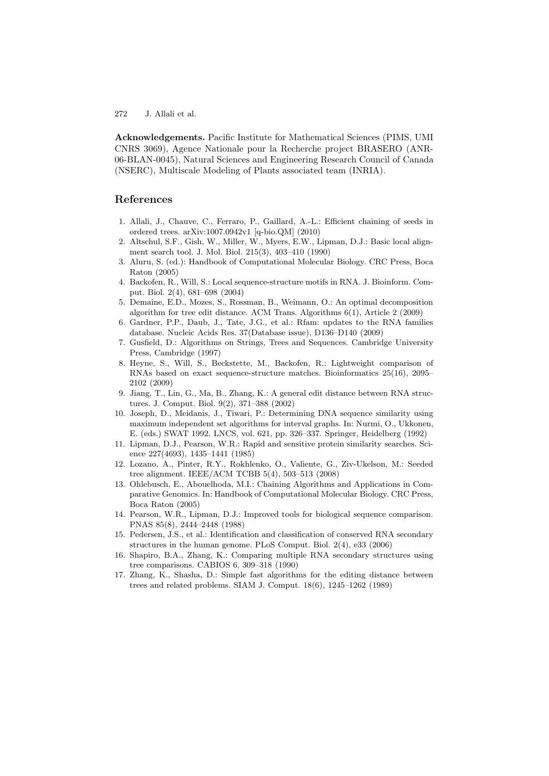**Acknowledgements.** Pacific Institute for Mathematical Sciences (PIMS, UMI CNRS 3069), Agence Nationale pour la Recherche project BRASERO (ANR-06-BLAN-0045), Natural Sciences and Engineering Research Council of Canada (NSERC), Multiscale Modeling of Plants associated team (INRIA).

## <span id="page-12-14"></span>**References**

- 1. Allali, J., Chauve, C., Ferraro, P., Gaillard, A.-L.: Efficient chaining of seeds in ordered trees. arXiv:1007.0942v1 [q-bio.QM] (2010)
- <span id="page-12-0"></span>2. Altschul, S.F., Gish, W., Miller, W., Myers, E.W., Lipman, D.J.: Basic local alignment search tool. J. Mol. Biol. 215(3), 403–410 (1990)
- <span id="page-12-3"></span>3. Aluru, S. (ed.): Handbook of Computational Molecular Biology. CRC Press, Boca Raton (2005)
- 4. Backofen, R., Will, S.: Local sequence-structure motifs in RNA. J. Bioinform. Comput. Biol. 2(4), 681–698 (2004)
- <span id="page-12-12"></span>5. Demaine, E.D., Mozes, S., Rossman, B., Weimann, O.: An optimal decomposition algorithm for tree edit distance. ACM Trans. Algorithms 6(1), Article 2 (2009)
- <span id="page-12-9"></span>6. Gardner, P.P., Daub, J., Tate, J.G., et al.: Rfam: updates to the RNA families database. Nucleic Acids Res. 37(Database issue), D136–D140 (2009)
- <span id="page-12-4"></span>7. Gusfield, D.: Algorithms on Strings, Trees and Sequences. Cambridge University Press, Cambridge (1997)
- <span id="page-12-13"></span>8. Heyne, S., Will, S., Beckstette, M., Backofen, R.: Lightweight comparison of RNAs based on exact sequence-structure matches. Bioinformatics 25(16), 2095– 2102 (2009)
- <span id="page-12-11"></span>9. Jiang, T., Lin, G., Ma, B., Zhang, K.: A general edit distance between RNA structures. J. Comput. Biol. 9(2), 371–388 (2002)
- <span id="page-12-5"></span>10. Joseph, D., Meidanis, J., Tiwari, P.: Determining DNA sequence similarity using maximum independent set algorithms for interval graphs. In: Nurmi, O., Ukkonen, E. (eds.) SWAT 1992. LNCS, vol. 621, pp. 326–337. Springer, Heidelberg (1992)
- <span id="page-12-1"></span>11. Lipman, D.J., Pearson, W.R.: Rapid and sensitive protein similarity searches. Science 227(4693), 1435–1441 (1985)
- <span id="page-12-15"></span>12. Lozano, A., Pinter, R.Y., Rokhlenko, O., Valiente, G., Ziv-Ukelson, M.: Seeded tree alignment. IEEE/ACM TCBB 5(4), 503–513 (2008)
- <span id="page-12-6"></span>13. Ohlebusch, E., Abouelhoda, M.I.: Chaining Algorithms and Applications in Comparative Genomics. In: Handbook of Computational Molecular Biology. CRC Press, Boca Raton (2005)
- <span id="page-12-2"></span>14. Pearson, W.R., Lipman, D.J.: Improved tools for biological sequence comparison. PNAS 85(8), 2444–2448 (1988)
- <span id="page-12-7"></span>15. Pedersen, J.S., et al.: Identification and classification of conserved RNA secondary structures in the human genome. PLoS Comput. Biol. 2(4), e33 (2006)
- <span id="page-12-8"></span>16. Shapiro, B.A., Zhang, K.: Comparing multiple RNA secondary structures using tree comparisons. CABIOS 6, 309–318 (1990)
- <span id="page-12-10"></span>17. Zhang, K., Shasha, D.: Simple fast algorithms for the editing distance between trees and related problems. SIAM J. Comput. 18(6), 1245–1262 (1989)